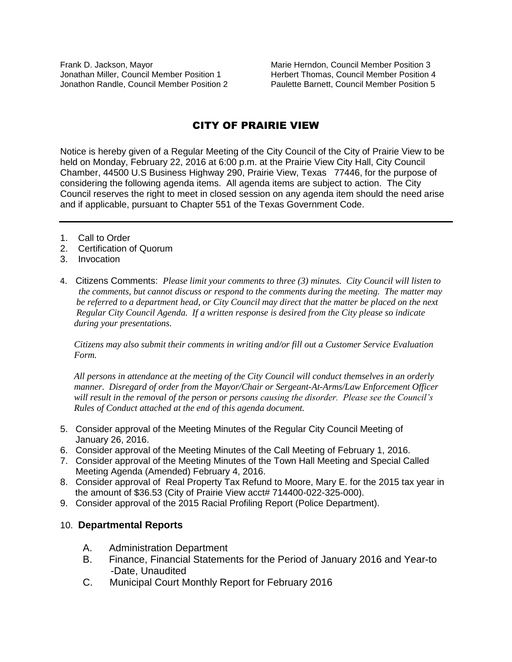Frank D. Jackson, Mayor **Marie Herndon, Council Member Position 3** Marie Herndon, Council Member Position 3 Jonathan Miller, Council Member Position 1 Herbert Thomas, Council Member Position 4 Jonathon Randle, Council Member Position 2 Paulette Barnett, Council Member Position 5

# CITY OF PRAIRIE VIEW

Notice is hereby given of a Regular Meeting of the City Council of the City of Prairie View to be held on Monday, February 22, 2016 at 6:00 p.m. at the Prairie View City Hall, City Council Chamber, 44500 U.S Business Highway 290, Prairie View, Texas 77446, for the purpose of considering the following agenda items. All agenda items are subject to action. The City Council reserves the right to meet in closed session on any agenda item should the need arise and if applicable, pursuant to Chapter 551 of the Texas Government Code.

- 1. Call to Order
- 2. Certification of Quorum
- 3. Invocation
- 4. Citizens Comments: *Please limit your comments to three (3) minutes. City Council will listen to the comments, but cannot discuss or respond to the comments during the meeting. The matter may be referred to a department head, or City Council may direct that the matter be placed on the next Regular City Council Agenda. If a written response is desired from the City please so indicate during your presentations.*

 *Citizens may also submit their comments in writing and/or fill out a Customer Service Evaluation Form.* 

 *All persons in attendance at the meeting of the City Council will conduct themselves in an orderly manner. Disregard of order from the Mayor/Chair or Sergeant-At-Arms/Law Enforcement Officer will result in the removal of the person or persons causing the disorder. Please see the Council's Rules of Conduct attached at the end of this agenda document.* 

- 5. Consider approval of the Meeting Minutes of the Regular City Council Meeting of January 26, 2016.
- 6. Consider approval of the Meeting Minutes of the Call Meeting of February 1, 2016.
- 7. Consider approval of the Meeting Minutes of the Town Hall Meeting and Special Called Meeting Agenda (Amended) February 4, 2016.
- 8. Consider approval of Real Property Tax Refund to Moore, Mary E. for the 2015 tax year in the amount of \$36.53 (City of Prairie View acct# 714400-022-325-000).
- 9. Consider approval of the 2015 Racial Profiling Report (Police Department).

#### 10. **Departmental Reports**

- A. Administration Department
- B. Finance, Financial Statements for the Period of January 2016 and Year-to -Date, Unaudited
- C. Municipal Court Monthly Report for February 2016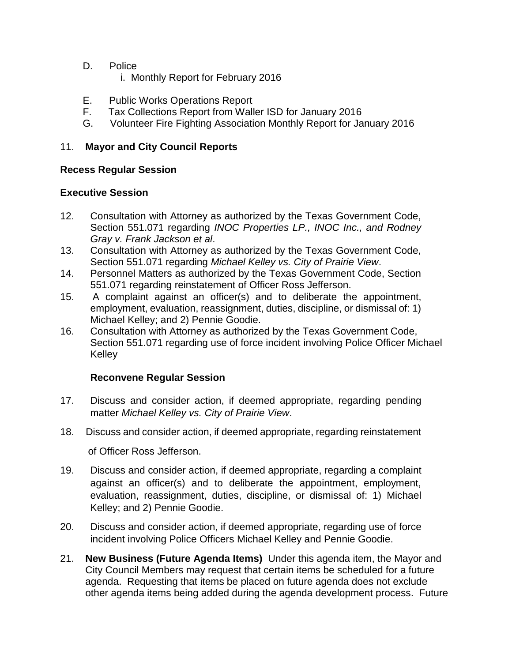- D. Police
	- i. Monthly Report for February 2016
- E. Public Works Operations Report
- F. Tax Collections Report from Waller ISD for January 2016
- G. Volunteer Fire Fighting Association Monthly Report for January 2016

# 11. **Mayor and City Council Reports**

### **Recess Regular Session**

# **Executive Session**

- 12. Consultation with Attorney as authorized by the Texas Government Code, Section 551.071 regarding *INOC Properties LP., INOC Inc., and Rodney Gray v. Frank Jackson et al*.
- 13. Consultation with Attorney as authorized by the Texas Government Code, Section 551.071 regarding *Michael Kelley vs. City of Prairie View*.
- 14. Personnel Matters as authorized by the Texas Government Code, Section 551.071 regarding reinstatement of Officer Ross Jefferson.
- 15. A complaint against an officer(s) and to deliberate the appointment, employment, evaluation, reassignment, duties, discipline, or dismissal of: 1) Michael Kelley; and 2) Pennie Goodie.
- 16. Consultation with Attorney as authorized by the Texas Government Code, Section 551.071 regarding use of force incident involving Police Officer Michael Kelley

### **Reconvene Regular Session**

- 17. Discuss and consider action, if deemed appropriate, regarding pending matter *Michael Kelley vs. City of Prairie View*.
- 18. Discuss and consider action, if deemed appropriate, regarding reinstatement of Officer Ross Jefferson.
- 19. Discuss and consider action, if deemed appropriate, regarding a complaint against an officer(s) and to deliberate the appointment, employment, evaluation, reassignment, duties, discipline, or dismissal of: 1) Michael Kelley; and 2) Pennie Goodie.
- 20. Discuss and consider action, if deemed appropriate, regarding use of force incident involving Police Officers Michael Kelley and Pennie Goodie.
- 21. **New Business (Future Agenda Items)** Under this agenda item, the Mayor and City Council Members may request that certain items be scheduled for a future agenda. Requesting that items be placed on future agenda does not exclude other agenda items being added during the agenda development process. Future